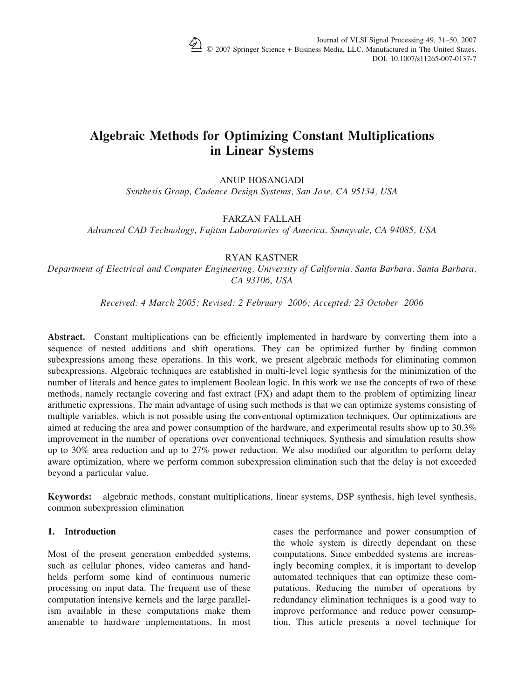# Algebraic Methods for Optimizing Constant Multiplications in Linear Systems

ANUP HOSANGADI

Synthesis Group, Cadence Design Systems, San Jose, CA 95134, USA

FARZAN FALLAH

Advanced CAD Technology, Fujitsu Laboratories of America, Sunnyvale, CA 94085, USA

RYAN KASTNER

Department of Electrical and Computer Engineering, University of California, Santa Barbara, Santa Barbara, CA 93106, USA

Received: 4 March 2005; Revised: 2 February 2006; Accepted: 23 October 2006

Abstract. Constant multiplications can be efficiently implemented in hardware by converting them into a sequence of nested additions and shift operations. They can be optimized further by finding common subexpressions among these operations. In this work, we present algebraic methods for eliminating common subexpressions. Algebraic techniques are established in multi-level logic synthesis for the minimization of the number of literals and hence gates to implement Boolean logic. In this work we use the concepts of two of these methods, namely rectangle covering and fast extract (FX) and adapt them to the problem of optimizing linear arithmetic expressions. The main advantage of using such methods is that we can optimize systems consisting of multiple variables, which is not possible using the conventional optimization techniques. Our optimizations are aimed at reducing the area and power consumption of the hardware, and experimental results show up to 30.3% improvement in the number of operations over conventional techniques. Synthesis and simulation results show up to 30% area reduction and up to 27% power reduction. We also modified our algorithm to perform delay aware optimization, where we perform common subexpression elimination such that the delay is not exceeded beyond a particular value.

Keywords: algebraic methods, constant multiplications, linear systems, DSP synthesis, high level synthesis, common subexpression elimination

# 1. Introduction

Most of the present generation embedded systems, such as cellular phones, video cameras and handhelds perform some kind of continuous numeric processing on input data. The frequent use of these computation intensive kernels and the large parallelism available in these computations make them amenable to hardware implementations. In most cases the performance and power consumption of the whole system is directly dependant on these computations. Since embedded systems are increasingly becoming complex, it is important to develop automated techniques that can optimize these computations. Reducing the number of operations by redundancy elimination techniques is a good way to improve performance and reduce power consumption. This article presents a novel technique for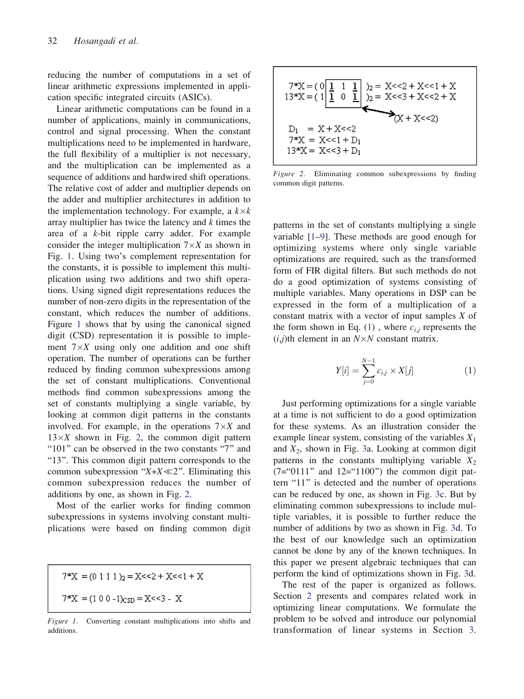<span id="page-1-0"></span>reducing the number of computations in a set of linear arithmetic expressions implemented in application specific integrated circuits (ASICs).

Linear arithmetic computations can be found in a number of applications, mainly in communications, control and signal processing. When the constant multiplications need to be implemented in hardware, the full flexibility of a multiplier is not necessary, and the multiplication can be implemented as a sequence of additions and hardwired shift operations. The relative cost of adder and multiplier depends on the adder and multiplier architectures in addition to the implementation technology. For example, a  $k \times k$ array multiplier has twice the latency and  $k$  times the area of a k-bit ripple carry adder. For example consider the integer multiplication  $7\times X$  as shown in Fig. 1. Using two's complement representation for the constants, it is possible to implement this multiplication using two additions and two shift operations. Using signed digit representations reduces the number of non-zero digits in the representation of the constant, which reduces the number of additions. Figure 1 shows that by using the canonical signed digit (CSD) representation it is possible to implement  $7 \times X$  using only one addition and one shift operation. The number of operations can be further reduced by finding common subexpressions among the set of constant multiplications. Conventional methods find common subexpressions among the set of constants multiplying a single variable, by looking at common digit patterns in the constants involved. For example, in the operations  $7\times X$  and  $13 \times X$  shown in Fig. 2, the common digit pattern " $101$ " can be observed in the two constants "7" and "13". This common digit pattern corresponds to the common subexpression " $X+X \ll 2$ ". Eliminating this common subexpression reduces the number of additions by one, as shown in Fig. 2.

Most of the earlier works for finding common subexpressions in systems involving constant multiplications were based on finding common digit

$$
7 * X = (0 1 1 1)_{2} = X < 2 + X < 1 + X
$$

$$
7 * X = (1 0 0 - 1)_{CSD} = X < 3 - X
$$

Figure 1. Converting constant multiplications into shifts and additions.

$$
7 * X = (0 1 1 1) = X < 2 + X < 1 + X
$$
  
\n
$$
13 * X = (1 1 1 0 1) = X < 3 + X < 2 + X
$$
  
\n
$$
D_1 = X + X < 2
$$
  
\n
$$
7 * X = X < 1 + D_1
$$
  
\n
$$
13 * X = X < 3 + D_1
$$

Figure 2. Eliminating common subexpressions by finding common digit patterns.

patterns in the set of constants multiplying a single variable [[1–9\]. These methods are good enough for](#page-17-0) [optimizing systems where only single variable](#page-17-0) [optimizations are required, such as the transformed](#page-17-0) [form of FIR digital filters. But such methods do not](#page-17-0) [do a good optimization of systems consisting of](#page-17-0) [multiple variables. Many operations in DSP can be](#page-17-0) [expressed in the form of a multiplication of a](#page-17-0) [constant matrix with a vector of input samples](#page-17-0) X of the form shown in Eq. (1), where  $c_{i,j}$  represents the  $(i,j)$ th element in an  $N \times N$  constant matrix.

$$
Y[i] = \sum_{j=0}^{N-1} c_{i,j} \times X[j] \tag{1}
$$

Just performing optimizations for a single variable at a time is not sufficient to do a good optimization for these systems. As an illustration consider the example linear system, consisting of the variables  $X_1$ and  $X_2$ , shown in Fig. [3a. Looking at common digit](#page-2-0) [patterns in the constants multiplying variable](#page-2-0)  $X_2$  $(7=0111)$  $(7=0111)$  $(7=0111)$ " and  $12=100$ " the common digit pat[tern](#page-2-0) "[11](#page-2-0)" [is detected and the number of operations](#page-2-0) [can be reduced by one, as shown in Fig.](#page-2-0) 3c. But by [eliminating common subexpressions to include mul](#page-2-0)[tiple variables, it is possible to further reduce the](#page-2-0) [number of additions by two as shown in Fig.](#page-2-0) 3d. To [the best of our knowledge such an optimization](#page-2-0) [cannot be done by any of the known techniques. In](#page-2-0) [this paper we present algebraic techniques that can](#page-2-0) [perform the kind of optimizations shown in Fig.](#page-2-0) 3d.

The rest of the paper is organized as follows. Section 2 [presents and compares related work in](#page-2-0) [optimizing linear computations. We formulate the](#page-2-0) [problem to be solved and introduce our polynomial](#page-2-0) [transformation of linear systems in Section](#page-5-0) 3.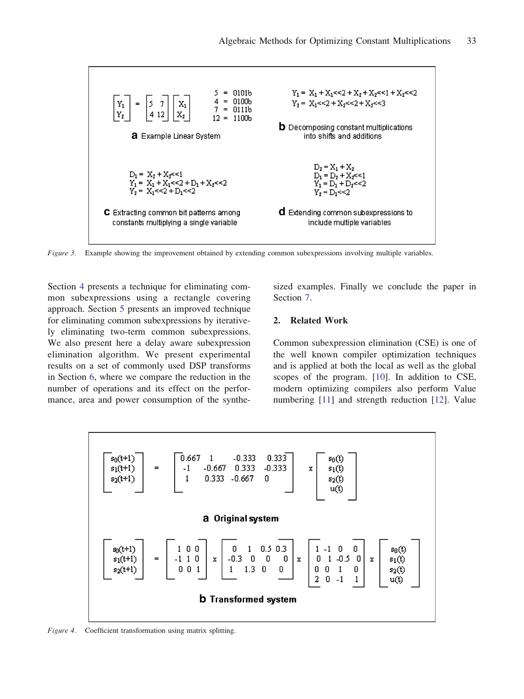<span id="page-2-0"></span>

Figure 3. Example showing the improvement obtained by extending common subexpressions involving multiple variables.

Section 4 [presents a technique for eliminating com](#page-6-0)[mon subexpressions using a rectangle covering](#page-6-0) approach. Section 5 [presents an improved technique](#page-10-0) [for eliminating common subexpressions by iterative](#page-10-0)[ly eliminating two-term common subexpressions.](#page-10-0) [We also present here a delay aware subexpression](#page-10-0) elimination algorithm. [We present experimental](#page-10-0) [results on a set of commonly used DSP transforms](#page-10-0) in Section [6, where we compare the reduction in the](#page-14-0) [number of operations and its effect on the perfor](#page-14-0)[mance, area and power consumption of the synthe-](#page-14-0) [sized examples. Finally we conclude the paper in](#page-14-0) [Section](#page-16-0) 7.

# 2. Related Work

Common subexpression elimination (CSE) is one of the well known compiler optimization techniques and is applied at both the local as well as the global scopes of the program. [\[10\]. In addition to CSE,](#page-17-0) [modern optimizing compilers also perform Value](#page-17-0) [numbering \[11\] and strength reduction \[12\]. Value](#page-17-0)



Figure 4. Coefficient transformation using matrix splitting.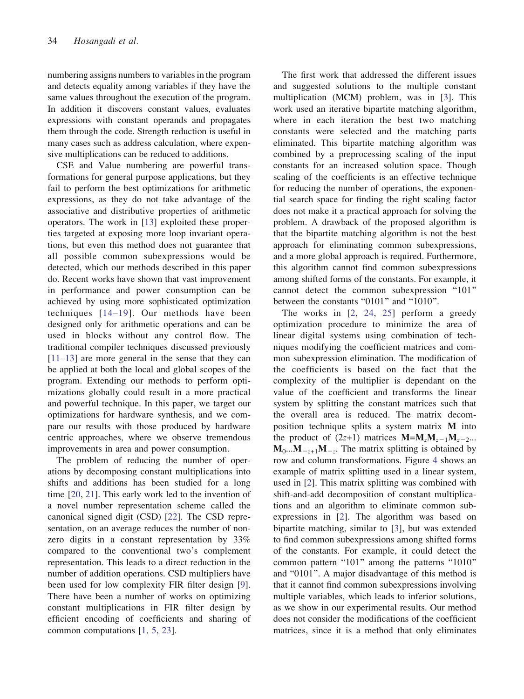[numbering assigns numbers to variables in the program](#page-17-0) [and detects equality among variables if they have the](#page-17-0) [same values throughout the execution of the program.](#page-17-0) [In addition it discovers constant values, evaluates](#page-17-0) [expressions with constant operands and propagates](#page-17-0) [them through the code. Strength reduction is useful in](#page-17-0) [many cases such as address calculation, where expen](#page-17-0)[sive multiplications can be reduced to additions.](#page-17-0)

CSE and Value numbering are powerful transformations for general purpose applications, but they fail to perform the best optimizations for arithmetic expressions, as they do not take advantage of the associative and distributive properties of arithmetic operators. The work in [\[13\] exploited these proper](#page-17-0)[ties targeted at exposing more loop invariant opera](#page-17-0)[tions, but even this method does not guarantee that](#page-17-0) [all possible common subexpressions would be](#page-17-0) [detected, which our methods described in this paper](#page-17-0) [do. Recent works have shown that vast improvement](#page-17-0) [in performance and power consumption can be](#page-17-0) [achieved by using more sophisticated optimization](#page-17-0) [techniques \[14–19\]. Our methods have been](#page-17-0) [designed only for arithmetic operations and can be](#page-17-0) [used in blocks without any control flow. The](#page-17-0) [traditional compiler techniques discussed previously](#page-17-0) [\[11–13\] are more general in the sense that they can](#page-17-0) [be applied at both the local and global scopes of the](#page-17-0) [program. Extending our methods to perform opti](#page-17-0)[mizations globally could result in a more practical](#page-17-0) [and powerful technique. In this paper, we target our](#page-17-0) [optimizations for hardware synthesis, and we com](#page-17-0)[pare our results with those produced by hardware](#page-17-0) [centric approaches, where we observe tremendous](#page-17-0) [improvements in area and power consumption.](#page-17-0)

The problem of reducing the number of operations by decomposing constant multiplications into shifts and additions has been studied for a long time [20, [21\]. This early work led to the invention of](#page-17-0) [a novel number representation scheme called the](#page-17-0) [canonical signed digit \(CSD\) \[22\]. The CSD repre](#page-17-0)[sentation, on an average reduces the number of non](#page-17-0)[zero digits in a constant representation by 33%](#page-17-0) [compared to the conventional two](#page-17-0)'[s complement](#page-17-0) [representation. This leads to a direct reduction in the](#page-17-0) [number of addition operations. CSD multipliers have](#page-17-0) [been used for low complexity FIR filter design \[9\].](#page-17-0) [There have been a number of works on optimizing](#page-17-0) [constant multiplications in FIR filter design by](#page-17-0) [efficient encoding of coefficients and sharing of](#page-17-0) [common computations \[1,](#page-17-0) 5, 23].

The first work that addressed the different issues and suggested solutions to the multiple constant multiplication (MCM) problem, was in [\[3\]. This](#page-17-0) [work used an iterative bipartite matching algorithm,](#page-17-0) [where in each iteration the best two matching](#page-17-0) [constants were selected and the matching parts](#page-17-0) [eliminated. This bipartite matching algorithm was](#page-17-0) [combined by a preprocessing scaling of the input](#page-17-0) [constants for an increased solution space. Though](#page-17-0) [scaling of the coefficients is an effective technique](#page-17-0) [for reducing the number of operations, the exponen](#page-17-0)[tial search space for finding the right scaling factor](#page-17-0) [does not make it a practical approach for solving the](#page-17-0) [problem. A drawback of the proposed algorithm is](#page-17-0) [that the bipartite matching algorithm is not the best](#page-17-0) [approach for eliminating common subexpressions,](#page-17-0) [and a more global approach is required. Furthermore,](#page-17-0) [this algorithm cannot find common subexpressions](#page-17-0) [among shifted forms of the constants. For example, it](#page-17-0) [cannot detect the common subexpression](#page-17-0) "[101](#page-17-0)" [between the constants](#page-17-0) " $0101$ " [and](#page-17-0) " $1010$ "[.](#page-17-0)

The works in [2, 24, [25\] perform a greedy](#page-17-0) [optimization procedure to minimize the area of](#page-17-0) [linear digital systems using combination of tech](#page-17-0)[niques modifying the coefficient matrices and com](#page-17-0)[mon subexpression elimination. The modification of](#page-17-0) [the coefficients is based on the fact that the](#page-17-0) [complexity of the multiplier is dependant on the](#page-17-0) [value of the coefficient and transforms the linear](#page-17-0) [system by splitting the constant matrices such that](#page-17-0) [the overall area is reduced. The matrix decom](#page-17-0)[position technique splits a system matrix](#page-17-0) M into the product of  $(2z+1)$  $(2z+1)$  $(2z+1)$  matrices  $M=M_zM_{z-1}M_{z-2}...$  $M=M_zM_{z-1}M_{z-2}...$  $M_0...M_{z+1}M_{z}$  $M_0...M_{z+1}M_{z}$  $M_0...M_{z+1}M_{z}$  $M_0...M_{z+1}M_{z}$  $M_0...M_{z+1}M_{z}$  $M_0...M_{z+1}M_{z}$ [. The matrix splitting is obtained by](#page-17-0) [row and column transformations. Figure](#page-2-0) 4 shows an [example of matrix splitting used in a linear system,](#page-2-0) [used in \[2\]. This matrix splitting was combined with](#page-17-0) [shift-and-add decomposition of constant multiplica](#page-17-0)[tions and an algorithm to eliminate common sub](#page-17-0)[expressions in \[2\]. The algorithm was based on](#page-17-0) [bipartite matching, similar to \[3\], but was extended](#page-17-0) [to find common subexpressions among shifted forms](#page-17-0) [of the constants. For example, it could detect the](#page-17-0) [common pattern](#page-17-0) " $101$ " [among the patterns](#page-17-0) " $1010$ " [and](#page-17-0) "[0101](#page-17-0)"[. A major disadvantage of this method is](#page-17-0) [that it cannot find common subexpressions involving](#page-17-0) [multiple variables, which leads to inferior solutions,](#page-17-0) [as we show in our experimental results. Our method](#page-17-0) [does not consider the modifications of the coefficient](#page-17-0) [matrices, since it is a method that only eliminates](#page-17-0)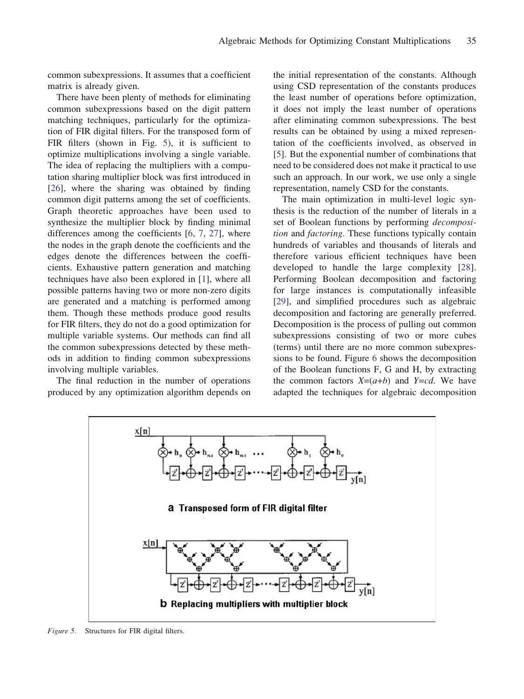[common subexpressions. It assumes that a coefficient](#page-17-0) [matrix is already given.](#page-17-0)

There have been plenty of methods for eliminating common subexpressions based on the digit pattern matching techniques, particularly for the optimization of FIR digital filters. For the transposed form of FIR filters (shown in Fig. 5), it is sufficient to optimize multiplications involving a single variable. The idea of replacing the multipliers with a computation sharing multiplier block was first introduced in [\[26\], where the sharing was obtained by finding](#page-17-0) [common digit patterns among the set of coefficients.](#page-17-0) [Graph theoretic approaches have been used to](#page-17-0) [synthesize the multiplier block by finding minimal](#page-17-0) [differences among the coefficients \[6,](#page-17-0) 7, 27], where [the nodes in the graph denote the coefficients and the](#page-17-0) [edges denote the differences between the coeffi](#page-17-0)[cients. Exhaustive pattern generation and matching](#page-17-0) [techniques have also been explored in \[1\], where all](#page-17-0) [possible patterns having two or more non-zero digits](#page-17-0) [are generated and a matching is performed among](#page-17-0) [them. Though these methods produce good results](#page-17-0) [for FIR filters, they do not do a good optimization for](#page-17-0) [multiple variable systems. Our methods can find all](#page-17-0) [the common subexpressions detected by these meth](#page-17-0)[ods in addition to finding common subexpressions](#page-17-0) [involving multiple variables.](#page-17-0)

The final reduction in the number of operations produced by any optimization algorithm depends on the initial representation of the constants. Although using CSD representation of the constants produces the least number of operations before optimization, it does not imply the least number of operations after eliminating common subexpressions. The best results can be obtained by using a mixed representation of the coefficients involved, as observed in [[5\]. But the exponential number of combinations that](#page-17-0) [need to be considered does not make it practical to use](#page-17-0) [such an approach. In our work, we use only a single](#page-17-0) [representation, namely CSD for the constants.](#page-17-0)

The main optimization in multi-level logic synthesis is the reduction of the number of literals in a set of Boolean functions by performing decomposition and factoring. These functions typically contain hundreds of variables and thousands of literals and therefore various efficient techniques have been developed to handle the large complexity [[28\].](#page-17-0) [Performing Boolean decomposition and factoring](#page-17-0) [for large instances is computationally infeasible](#page-17-0) [\[29\], and simplified procedures such as algebraic](#page-17-0) [decomposition and factoring are generally preferred.](#page-17-0) [Decomposition is the process of pulling out common](#page-17-0) [subexpressions consisting of two or more cubes](#page-17-0) [\(terms\) until there are no more common subexpres](#page-17-0)sions to be found. Figure 6 [shows the decomposition](#page-5-0) [of the Boolean functions F, G and H, by extracting](#page-5-0) [the common factors](#page-5-0)  $X=(a+b)$  and  $Y=cd$ . We have [adapted the techniques for algebraic decomposition](#page-5-0)



Figure 5. Structures for FIR digital filters.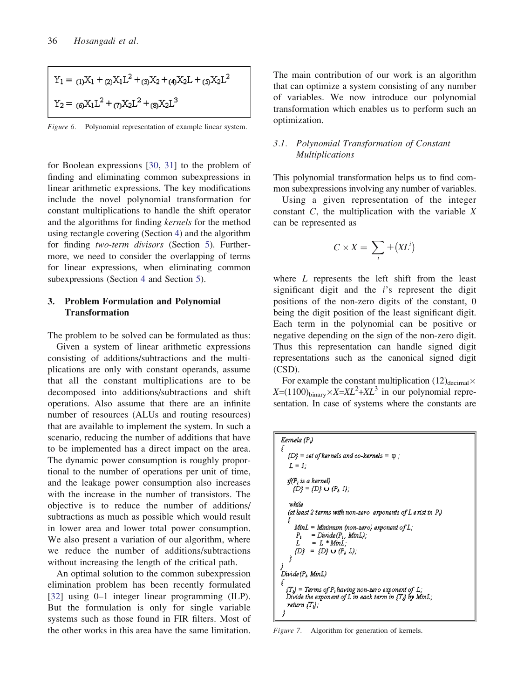<span id="page-5-0"></span>
$$
\begin{array}{l} Y_1 = \hbox{$_{(1)}$} X_1 + \hbox{$_{(2)}$} X_1 L^2 + \hbox{$_{(3)}$} X_2 + \hbox{$_{(4)}$} X_2 L + \hbox{$_{(5)}$} X_2 L^2 \\ \\ Y_2 = \hbox{$_{(6)}$} X_1 L^2 + \hbox{$_{(7)}$} X_2 L^2 + \hbox{$_{(8)}$} X_2 L^3 \end{array}
$$

Figure 6. Polynomial representation of example linear system.

[for Boolean expressions \[30,](#page-18-0) 31] to the problem of [finding and eliminating common subexpressions in](#page-18-0) [linear arithmetic expressions. The key modifications](#page-18-0) [include the novel polynomial transformation for](#page-18-0) [constant multiplications to handle the shift operator](#page-18-0) [and the algorithms for finding](#page-18-0) kernels for the method [using rectangle covering \(Section](#page-6-0) 4) and the algorithm for finding [two-term divisors](#page-10-0) (Section 5). Further[more, we need to consider the overlapping of terms](#page-10-0) [for linear expressions, when eliminating common](#page-10-0) [subexpressions \(Section](#page-10-0) 4 and Section 5).

# 3. Problem Formulation and Polynomial Transformation

The problem to be solved can be formulated as thus:

Given a system of linear arithmetic expressions consisting of additions/subtractions and the multiplications are only with constant operands, assume that all the constant multiplications are to be decomposed into additions/subtractions and shift operations. Also assume that there are an infinite number of resources (ALUs and routing resources) that are available to implement the system. In such a scenario, reducing the number of additions that have to be implemented has a direct impact on the area. The dynamic power consumption is roughly proportional to the number of operations per unit of time, and the leakage power consumption also increases with the increase in the number of transistors. The objective is to reduce the number of additions/ subtractions as much as possible which would result in lower area and lower total power consumption. We also present a variation of our algorithm, where we reduce the number of additions/subtractions without increasing the length of the critical path.

An optimal solution to the common subexpression elimination problem has been recently formulated [[32\] using 0–1 integer linear programming \(ILP\).](#page-18-0) [But the formulation is only for single variable](#page-18-0) [systems such as those found in FIR filters. Most of](#page-18-0) [the other works in this area have the same limitation.](#page-18-0) [The main contribution of our work is an algorithm](#page-18-0) [that can optimize a system consisting of any number](#page-18-0) [of variables. We now introduce our polynomial](#page-18-0) [transformation which enables us to perform such an](#page-18-0) [optimization.](#page-18-0)

# 3.1. Polynomial Transformation of Constant Multiplications

This polynomial transformation helps us to find common subexpressions involving any number of variables.

Using a given representation of the integer constant C, the multiplication with the variable X can be represented as

$$
C \times X = \sum_{i} \pm (XL^{i})
$$

where L represents the left shift from the least significant digit and the  $i$ 's represent the digit positions of the non-zero digits of the constant, 0 being the digit position of the least significant digit. Each term in the polynomial can be positive or negative depending on the sign of the non-zero digit. Thus this representation can handle signed digit representations such as the canonical signed digit (CSD).

For example the constant multiplication  $(12)_{\text{decimal}} \times$  $X=(1100)_{\text{binary}} \times X = XL^2 + XL^3$  in our polynomial representation. In case of systems where the constants are

```
Kemels (P)
   \{D\} = set of kernels and co-kernels = \varphi ;
   L = I;
  if(P, is a kernel)
    \{D\} = \{D\} \cup (P, I);umila
   (at least 2 terms with non-zero exponents of L exist in P<sub>s</sub>)
     MinL = Minimum (non-zero) exponent of L;P_{\rm L}= Divide(P<sub>t</sub>, MinL);L
            = L * MinL\{D\} = \{D\} \cup (P, L),Divide(P, MinL)
  \{T_{ij}\} = Terms of P_i having non-zero exponent of L;
  Divide the exponent of L in each term in \{T_i\} by MinL;
  return \{T_{ij}\};
```
Figure 7. Algorithm for generation of kernels.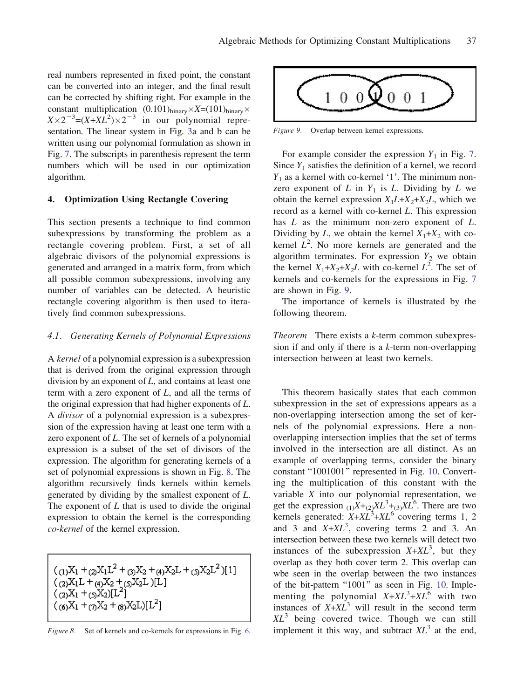<span id="page-6-0"></span>real numbers represented in fixed point, the constant can be converted into an integer, and the final result can be corrected by shifting right. For example in the constant multiplication  $(0.101)_{\text{binary}} \times X = (101)_{\text{binary}} \times$  $X \times 2^{-3} = (X + XL^2) \times 2^{-3}$  in our polynomial representation. The linear system in Fig. [3a and b can be](#page-2-0) [written using our polynomial formulation as shown in](#page-2-0) Fig. [7. The subscripts in parenthesis represent the term](#page-5-0) [numbers which will be used in our optimization](#page-5-0) [algorithm.](#page-5-0)

#### 4. Optimization Using Rectangle Covering

This section presents a technique to find common subexpressions by transforming the problem as a rectangle covering problem. First, a set of all algebraic divisors of the polynomial expressions is generated and arranged in a matrix form, from which all possible common subexpressions, involving any number of variables can be detected. A heuristic rectangle covering algorithm is then used to iteratively find common subexpressions.

## 4.1. Generating Kernels of Polynomial Expressions

A kernel of a polynomial expression is a subexpression that is derived from the original expression through division by an exponent of  $L$ , and contains at least one term with a zero exponent of  $L$ , and all the terms of the original expression that had higher exponents of L. A divisor of a polynomial expression is a subexpression of the expression having at least one term with a zero exponent of L. The set of kernels of a polynomial expression is a subset of the set of divisors of the expression. The algorithm for generating kernels of a set of polynomial expressions is shown in Fig. 8. The algorithm recursively finds kernels within kernels generated by dividing by the smallest exponent of L. The exponent of  $L$  that is used to divide the original expression to obtain the kernel is the corresponding co-kernel of the kernel expression.



Figure 8. Set of kernels and co-kernels for expressions in Fig. [6.](#page-5-0)



Figure 9. Overlap between kernel expressions.

For example consider the expression  $Y_1$  in Fig. [7.](#page-5-0) [Since](#page-5-0)  $Y_1$  [satisfies the definition of a kernel, we record](#page-5-0)  $Y_1$  $Y_1$  $Y_1$  [as a kernel with co-kernel](#page-5-0) '1'[. The minimum non](#page-5-0)[zero exponent of](#page-5-0) L in  $Y_1$  is L[. Dividing by](#page-5-0) L we [obtain the kernel expression](#page-5-0)  $X_1L+X_2+X_2L$  $X_1L+X_2+X_2L$  $X_1L+X_2+X_2L$  $X_1L+X_2+X_2L$ [, which we](#page-5-0) [record as a kernel with co-kernel](#page-5-0) L. This expression has L [as the minimum non-zero exponent of](#page-5-0) L. Dividing by L[, we obtain the kernel](#page-5-0)  $X_1+X_2$  $X_1+X_2$  [with co](#page-5-0)[kernel](#page-5-0)  $\tilde{L}^2$ [. No more kernels are generated and the](#page-5-0) [algorithm terminates. For expression](#page-5-0)  $Y_2$  [we obtain](#page-5-0) [the kernel](#page-5-0)  $X_1+X_2+X_2L$  $X_1+X_2+X_2L$  $X_1+X_2+X_2L$  $X_1+X_2+X_2L$  [with](#page-5-0) [co-kernel](#page-5-0)  $L^2$ [. The set of](#page-5-0) [kernels and co-kernels for the expressions in Fig.](#page-5-0) 7 are shown in Fig. 9.

The importance of kernels is illustrated by the following theorem.

Theorem There exists a k-term common subexpression if and only if there is a  $k$ -term non-overlapping intersection between at least two kernels.

This theorem basically states that each common subexpression in the set of expressions appears as a non-overlapping intersection among the set of kernels of the polynomial expressions. Here a nonoverlapping intersection implies that the set of terms involved in the intersection are all distinct. As an example of overlapping terms, consider the binary constant "1001001" represented in Fig. [10. Convert](#page-7-0)[ing the multiplication of this constant with the](#page-7-0) variable  $X$  [into our polynomial representation, we](#page-7-0) [get the expression](#page-7-0)  $_{(1)}X +_{(2)}XL^3 +_{(3)}XL^6$  $_{(1)}X +_{(2)}XL^3 +_{(3)}XL^6$  $_{(1)}X +_{(2)}XL^3 +_{(3)}XL^6$ [. There are two](#page-7-0) [kernels](#page-7-0) [generated:](#page-7-0)  $X+XL^3+XL^6$  $X+XL^3+XL^6$  $X+XL^3+XL^6$  [covering terms 1, 2](#page-7-0) [and](#page-7-0) [3](#page-7-0) and  $X+XL^3$ [, covering terms 2 and 3. An](#page-7-0) [intersection between these two kernels will detect two](#page-7-0) [instances](#page-7-0) [of](#page-7-0) [the](#page-7-0) [subexpression](#page-7-0)  $X+XL^3$ [, but they](#page-7-0) [overlap as they both cover term 2. This overlap can](#page-7-0) [wbe seen in the overlap between the two instances](#page-7-0) [of the bit-pattern](#page-7-0) " $1001$ " [as seen in Fig.](#page-7-0) 10. Imple[menting](#page-7-0) [the](#page-7-0) [polynomial](#page-7-0)  $X+XL^3+XL^6$  $X+XL^3+XL^6$  $X+XL^3+XL^6$  [with two](#page-7-0) [instances](#page-7-0) [of](#page-7-0)  $X+XL^3$  [will result in the second term](#page-7-0)  $XL^3$  $XL^3$  [being covered twice. Though we can still](#page-7-0) [implement](#page-7-0) [it](#page-7-0) [this](#page-7-0) [way,](#page-7-0) [and](#page-7-0) [subtract](#page-7-0)  $XL^3$  [at the end,](#page-7-0)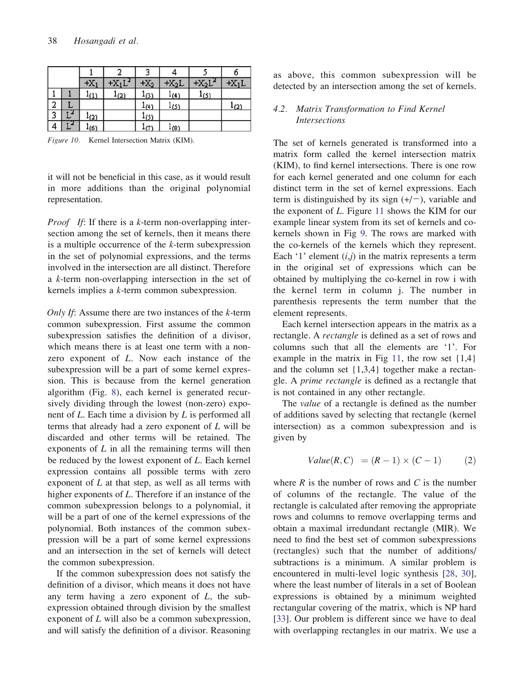<span id="page-7-0"></span>

|   |           |           |           |           |           | D         |
|---|-----------|-----------|-----------|-----------|-----------|-----------|
|   | $+X_1$    | $+X_1L$   | $+X_2$    | $+X_2L$   | $+X_2L$   | $+X_1L$   |
|   | $1_{(1)}$ | $1_{(2)}$ | $1_{(3)}$ | $1_{(4)}$ | $1_{(5)}$ |           |
| 2 |           |           | $1_{(4)}$ | $1_{(5)}$ |           | $1_{(2)}$ |
| 3 | $1_{(2)}$ |           | $1_{(5)}$ |           |           |           |
| 4 | $-165$    |           | 1(7)      | 1(8)      |           |           |

Figure 10. Kernel Intersection Matrix (KIM).

it will not be beneficial in this case, as it would result in more additions than the original polynomial representation.

*Proof If:* If there is a k-term non-overlapping intersection among the set of kernels, then it means there is a multiple occurrence of the  $k$ -term subexpression in the set of polynomial expressions, and the terms involved in the intersection are all distinct. Therefore a k-term non-overlapping intersection in the set of kernels implies a k-term common subexpression.

Only If: Assume there are two instances of the k-term common subexpression. First assume the common subexpression satisfies the definition of a divisor, which means there is at least one term with a nonzero exponent of L. Now each instance of the subexpression will be a part of some kernel expression. This is because from the kernel generation algorithm (Fig. [8\), each kernel is generated recur](#page-6-0)[sively dividing through the lowest \(non-zero\) expo](#page-6-0)nent of  $L$ [. Each time a division by](#page-6-0)  $L$  is performed all [terms that already had a zero exponent of](#page-6-0)  $L$  will be [discarded and other terms will be retained. The](#page-6-0) exponents of  $L$  [in all the remaining terms will then](#page-6-0) [be reduced by the lowest exponent of](#page-6-0) L. Each kernel [expression contains all possible terms with zero](#page-6-0) exponent of  $L$  [at that step, as well as all terms with](#page-6-0) higher exponents of L[. Therefore if an instance of the](#page-6-0) [common subexpression belongs to a polynomial, it](#page-6-0) [will be a part of one of the kernel expressions of the](#page-6-0) [polynomial. Both instances of the common subex](#page-6-0)[pression will be a part of some kernel expressions](#page-6-0) [and an intersection in the set of kernels will detect](#page-6-0) [the common subexpression.](#page-6-0)

If the common subexpression does not satisfy the definition of a divisor, which means it does not have any term having a zero exponent of  $L$ , the subexpression obtained through division by the smallest exponent of L will also be a common subexpression, and will satisfy the definition of a divisor. Reasoning as above, this common subexpression will be detected by an intersection among the set of kernels.

# 4.2. Matrix Transformation to Find Kernel **Intersections**

The set of kernels generated is transformed into a matrix form called the kernel intersection matrix (KIM), to find kernel intersections. There is one row for each kernel generated and one column for each distinct term in the set of kernel expressions. Each term is distinguished by its sign  $(+/-)$ , variable and the exponent of L. Figure 11 [shows the KIM for our](#page-8-0) [example linear system from its set of kernels and co](#page-8-0)kernels shown in Fig [9. The rows are marked with](#page-6-0) [the co-kernels of the kernels which they represent.](#page-6-0) [Each](#page-6-0) '[1](#page-6-0)' element  $(i,j)$  in the matrix represents a term [in the original set of expressions which can be](#page-6-0) [obtained by multiplying the co-kernel in row i with](#page-6-0) [the kernel term in column j. The number in](#page-6-0) [parenthesis represents the term number that the](#page-6-0) [element represents.](#page-6-0)

Each kernel intersection appears in the matrix as a rectangle. A rectangle is defined as a set of rows and columns such that all the elements are '1'. For example in the matrix in Fig 11, the row set  $\{1,4\}$ [and the column set {1,3,4} together make a rectan](#page-8-0)gle. A prime rectangle [is defined as a rectangle that](#page-8-0) [is not contained in any other rectangle.](#page-8-0)

The *value* of a rectangle is defined as the number of additions saved by selecting that rectangle (kernel intersection) as a common subexpression and is given by

$$
Value(R, C) = (R - 1) \times (C - 1) \tag{2}
$$

where  $R$  is the number of rows and  $C$  is the number of columns of the rectangle. The value of the rectangle is calculated after removing the appropriate rows and columns to remove overlapping terms and obtain a maximal irredundant rectangle (MIR). We need to find the best set of common subexpressions (rectangles) such that the number of additions/ subtractions is a minimum. A similar problem is encountered in multi-level logic synthesis [28, [30\],](#page-18-0) [where the least number of literals in a set of Boolean](#page-18-0) [expressions is obtained by a minimum weighted](#page-18-0) [rectangular covering of the matrix, which is NP hard](#page-18-0) [\[33\]. Our problem is different since we have to deal](#page-18-0) [with overlapping rectangles in our matrix. We use a](#page-18-0)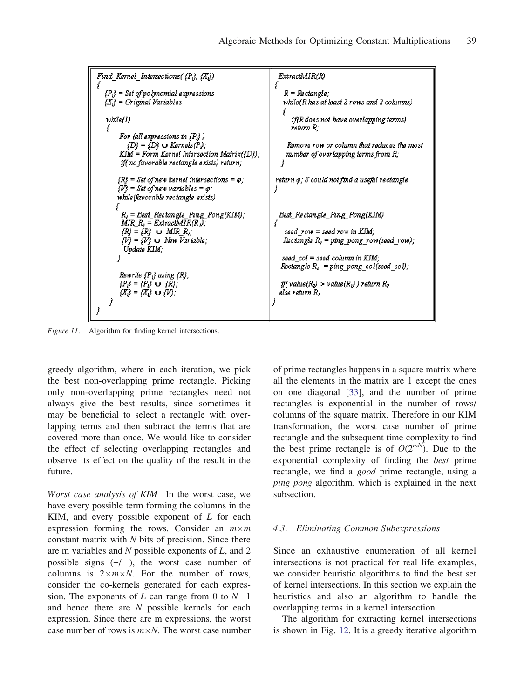<span id="page-8-0"></span>

Figure 11. Algorithm for finding kernel intersections.

[greedy algorithm, where in each iteration, we pick](#page-18-0) [the best non-overlapping prime rectangle. Picking](#page-18-0) [only non-overlapping prime rectangles need not](#page-18-0) [always give the best results, since sometimes it](#page-18-0) [may be beneficial to select a rectangle with over](#page-18-0)[lapping terms and then subtract the terms that are](#page-18-0) [covered more than once. We would like to consider](#page-18-0) [the effect of selecting overlapping rectangles and](#page-18-0) [observe its effect on the quality of the result in the](#page-18-0) [future.](#page-18-0)

Worst case analysis of KIM In the worst case, we have every possible term forming the columns in the KIM, and every possible exponent of L for each expression forming the rows. Consider an  $m \times m$ constant matrix with  $N$  bits of precision. Since there are m variables and N possible exponents of L, and 2 possible signs  $(+/-)$ , the worst case number of columns is  $2 \times m \times N$ . For the number of rows, consider the co-kernels generated for each expression. The exponents of L can range from 0 to  $N-1$ and hence there are N possible kernels for each expression. Since there are m expressions, the worst case number of rows is  $m \times N$ . The worst case number

of prime rectangles happens in a square matrix where all the elements in the matrix are 1 except the ones on one diagonal [\[33\], and the number of prime](#page-18-0) [rectangles is exponential in the number of rows/](#page-18-0) [columns of the square matrix. Therefore in our KIM](#page-18-0) [transformation, the worst case number of prime](#page-18-0) [rectangle and the subsequent time complexity to find](#page-18-0) [the](#page-18-0) [best](#page-18-0) [prime](#page-18-0) [rectangle](#page-18-0) [is](#page-18-0) [of](#page-18-0)  $O(2^{mN})$ . Due to the [exponential complexity of finding the](#page-18-0) best prime rectangle, we find a good [prime rectangle, using a](#page-18-0) ping pong [algorithm, which is explained in the next](#page-18-0) [subsection.](#page-18-0)

#### 4.3. Eliminating Common Subexpressions

Since an exhaustive enumeration of all kernel intersections is not practical for real life examples, we consider heuristic algorithms to find the best set of kernel intersections. In this section we explain the heuristics and also an algorithm to handle the overlapping terms in a kernel intersection.

The algorithm for extracting kernel intersections is shown in Fig. [12. It is a greedy iterative algorithm](#page-9-0)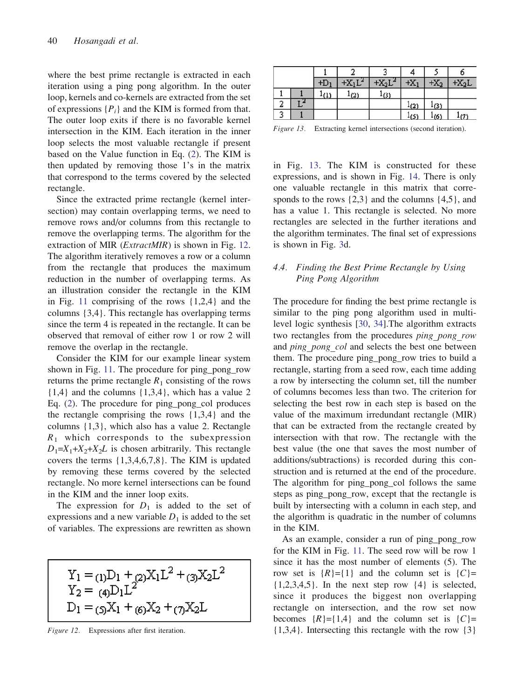<span id="page-9-0"></span>where the best prime rectangle is extracted in each iteration using a ping pong algorithm. In the outer loop, kernels and co-kernels are extracted from the set of expressions  $\{P_i\}$  and the KIM is formed from that. The outer loop exits if there is no favorable kernel intersection in the KIM. Each iteration in the inner loop selects the most valuable rectangle if present [based on the Value function in Eq. \(2\). The KIM is](#page-7-0) [then updated by removing those 1](#page-7-0)'[s in the matrix](#page-7-0) [that correspond to the terms covered by the selected](#page-7-0) [rectangle.](#page-7-0)

Since the extracted prime rectangle (kernel intersection) may contain overlapping terms, we need to remove rows and/or columns from this rectangle to remove the overlapping terms. The algorithm for the extraction of MIR (*ExtractMIR*) is shown in Fig. 12. The algorithm iteratively removes a row or a column from the rectangle that produces the maximum reduction in the number of overlapping terms. As an illustration consider the rectangle in the KIM in Fig. 11 [comprising of the rows {1,2,4} and the](#page-8-0) [columns {3,4}. This rectangle has overlapping terms](#page-8-0) [since the term 4 is repeated in the rectangle. It can be](#page-8-0) [observed that removal of either row 1 or row 2 will](#page-8-0) [remove the overlap in the rectangle.](#page-8-0)

Consider the KIM for our example linear system shown in Fig. 11. The procedure for ping pong row [returns the prime rectangle](#page-8-0)  $R_1$  [consisting of the rows](#page-8-0)  $\{1,4\}$  and the columns  $\{1,3,4\}$ , which has a value 2 [Eq. \(2\). The procedure for ping\\_pong\\_col produces](#page-7-0) [the rectangle comprising the rows {1,3,4} and the](#page-7-0) [columns {1,3}, which also has a value 2. Rectangle](#page-7-0)  $R_1$  $R_1$  [which corresponds to the subexpression](#page-7-0)  $D_1=X_1+X_2+X_2L$  $D_1=X_1+X_2+X_2L$  $D_1=X_1+X_2+X_2L$  $D_1=X_1+X_2+X_2L$  $D_1=X_1+X_2+X_2L$  $D_1=X_1+X_2+X_2L$  $D_1=X_1+X_2+X_2L$  [is chosen arbitrarily. This rectangle](#page-7-0) [covers the terms {1,3,4,6,7,8}. The KIM is updated](#page-7-0) [by removing these terms covered by the selected](#page-7-0) [rectangle. No more kernel intersections can be found](#page-7-0) [in the KIM and the inner loop exits.](#page-7-0)

The expression for  $D_1$  is added to the set of expressions and a new variable  $D_1$  is added to the set of variables. The expressions are rewritten as shown



Figure 12. Expressions after first iteration.

|  | $+D_1$           | +X1L      | $+X_2L$ | $+X_1$    | $+X_2$    | $+X_2L$ |
|--|------------------|-----------|---------|-----------|-----------|---------|
|  | 1 <sub>(1)</sub> | $1_{(2)}$ | 1(3)    |           |           |         |
|  |                  |           |         | $1_{(2)}$ | $1_{(3)}$ |         |
|  |                  |           |         |           | ۱٬۵۱      | 171     |

Figure 13. Extracting kernel intersections (second iteration).

in Fig. 13. The KIM is constructed for these [expressions, and is shown in Fig.](#page-10-0) 14. There is only [one valuable rectangle in this matrix that corre](#page-10-0)sponds to the rows  $\{2,3\}$  and the columns  $\{4,5\}$ , and [has a value 1. This rectangle is selected. No more](#page-10-0) [rectangles are selected in the further iterations and](#page-10-0) [the algorithm terminates. The final set of expressions](#page-10-0) [is shown in Fig.](#page-2-0) 3d.

# 4.4. Finding the Best Prime Rectangle by Using Ping Pong Algorithm

The procedure for finding the best prime rectangle is similar to the ping pong algorithm used in multilevel logic synthesis [30, [34\].The algorithm extracts](#page-18-0) [two rectangles from the procedures](#page-18-0) ping pong row and *ping* pong col [and selects the best one between](#page-18-0) [them. The procedure ping\\_pong\\_row tries to build a](#page-18-0) [rectangle, starting from a seed row, each time adding](#page-18-0) [a row by intersecting the column set, till the number](#page-18-0) [of columns becomes less than two. The criterion for](#page-18-0) [selecting the best row in each step is based on the](#page-18-0) [value of the maximum irredundant rectangle \(MIR\)](#page-18-0) [that can be extracted from the rectangle created by](#page-18-0) [intersection with that row. The rectangle with the](#page-18-0) [best value \(the one that saves the most number of](#page-18-0) [additions/subtractions\) is recorded during this con](#page-18-0)[struction and is returned at the end of the procedure.](#page-18-0) [The algorithm for ping\\_pong\\_col follows the same](#page-18-0) [steps as ping\\_pong\\_row, except that the rectangle is](#page-18-0) [built by intersecting with a column in each step, and](#page-18-0) [the algorithm is quadratic in the number of columns](#page-18-0) [in the KIM.](#page-18-0)

As an example, consider a run of ping\_pong\_row for the KIM in Fig. [11. The seed row will be row 1](#page-8-0) [since it has the most number of elements \(5\). The](#page-8-0) row set is  $\{R\} = \{1\}$  and the column set is  $\{C\}$ =  $\{1,2,3,4,5\}$ . In the next step row  $\{4\}$  is selected, [since it produces the biggest non overlapping](#page-8-0) [rectangle on intersection, and the row set now](#page-8-0) becomes  $\{R\} = \{1,4\}$  and the column set is  $\{C\} =$ [{1,3,4}. Intersecting this rectangle with the row {3}](#page-8-0)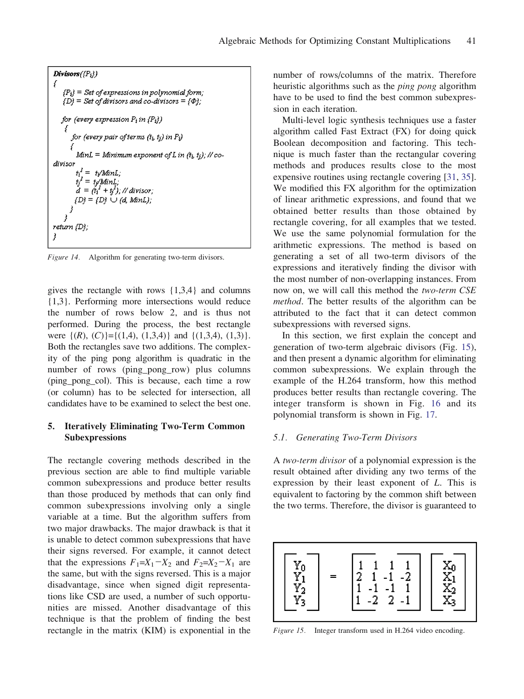```
Divisors(\langle P_i \rangle)ł
    \{P_i\} = Set of expressions in polynomial form;
    \{D\} = Set of divisors and co-divisors = \{\Phi\};
   for (every expression P_i in \{P_i\})
       for (every pair of terms (t_i, t_j) in P_i)
         MinL = Minimum exponent of L in (t_i, t_i), // co-
divisor
         t_i^I = t_i/\text{Min}L_it_j^I = t_j / \text{Min} L_j<br>
d = (t_i^I + t_j^I); // divisor;
        \{D\} = \{D\} \cup \{d, MinL\}ł
return {D},
Ĵ
```
Figure 14. Algorithm for generating two-term divisors.

[gives the rectangle with rows {1,3,4} and columns](#page-8-0) [{1,3}. Performing more intersections would reduce](#page-8-0) [the number of rows below 2, and is thus not](#page-8-0) [performed. During the process, the best rectangle](#page-8-0) were  $\{(R), (C)\}=\{(1,4), (1,3,4)\}$  and  $\{(1,3,4), (1,3)\}.$ [Both the rectangles save two additions. The complex](#page-8-0)[ity of the ping pong algorithm is quadratic in the](#page-8-0) [number of rows \(ping\\_pong\\_row\) plus columns](#page-8-0) [\(ping\\_pong\\_col\). This is because, each time a row](#page-8-0) [\(or column\) has to be selected for intersection, all](#page-8-0) [candidates have to be examined to select the best one.](#page-8-0)

# 5. Iteratively Eliminating Two-Term Common Subexpressions

The rectangle covering methods described in the previous section are able to find multiple variable common subexpressions and produce better results than those produced by methods that can only find common subexpressions involving only a single variable at a time. But the algorithm suffers from two major drawbacks. The major drawback is that it is unable to detect common subexpressions that have their signs reversed. For example, it cannot detect that the expressions  $F_1=X_1-X_2$  and  $F_2=X_2-X_1$  are the same, but with the signs reversed. This is a major disadvantage, since when signed digit representations like CSD are used, a number of such opportunities are missed. Another disadvantage of this technique is that the problem of finding the best rectangle in the matrix (KIM) is exponential in the number of rows/columns of the matrix. Therefore heuristic algorithms such as the ping pong algorithm have to be used to find the best common subexpression in each iteration.

Multi-level logic synthesis techniques use a faster algorithm called Fast Extract (FX) for doing quick Boolean decomposition and factoring. This technique is much faster than the rectangular covering methods and produces results close to the most expensive routines using rectangle covering [31, [35\].](#page-18-0) [We modified this FX algorithm for the optimization](#page-18-0) [of linear arithmetic expressions, and found that we](#page-18-0) [obtained better results than those obtained by](#page-18-0) [rectangle covering, for all examples that we tested.](#page-18-0) [We use the same polynomial formulation for the](#page-18-0) [arithmetic expressions. The method is based on](#page-18-0) [generating a set of all two-term divisors of the](#page-18-0) [expressions and iteratively finding the divisor with](#page-18-0) [the most number of non-overlapping instances. From](#page-18-0) [now on, we will call this method the](#page-18-0) two-term CSE method[. The better results of the algorithm can be](#page-18-0) [attributed to the fact that it can detect common](#page-18-0) [subexpressions with reversed signs.](#page-18-0)

In this section, we first explain the concept and generation of two-term algebraic divisors (Fig. 15), and then present a dynamic algorithm for eliminating common subexpressions. We explain through the example of the H.264 transform, how this method produces better results than rectangle covering. The [integer transform is shown in Fig.](#page-11-0) 16 and its [polynomial transform is shown in Fig.](#page-11-0) 17.

# 5.1. Generating Two-Term Divisors

A two-term divisor of a polynomial expression is the result obtained after dividing any two terms of the expression by their least exponent of L. This is equivalent to factoring by the common shift between the two terms. Therefore, the divisor is guaranteed to



Figure 15. Integer transform used in H.264 video encoding.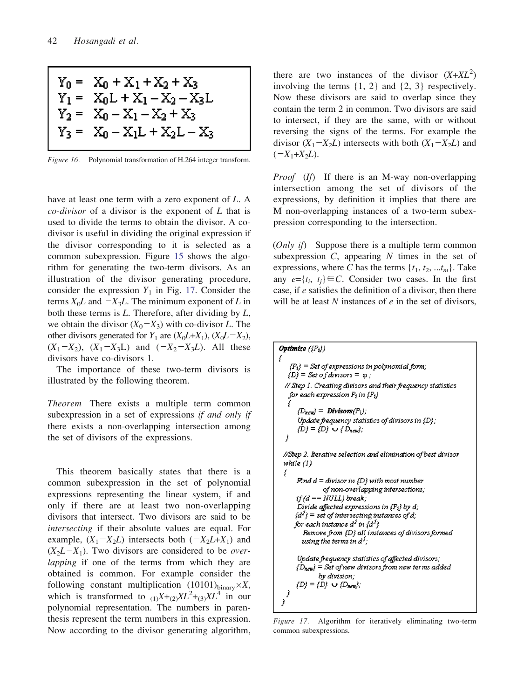<span id="page-11-0"></span> $Y_0 = X_0 + X_1 + X_2 + X_3$  $Y_1 = X_0L + X_1 - X_2 - X_3L$ <br>  $Y_2 = X_0 - X_1 - X_2 + X_3$ <br>  $Y_3 = X_0 - X_1L + X_2L - X_3$ 

Figure 16. Polynomial transformation of H.264 integer transform.

have at least one term with a zero exponent of L. A  $co-divisor$  of a divisor is the exponent of  $L$  that is used to divide the terms to obtain the divisor. A codivisor is useful in dividing the original expression if the divisor corresponding to it is selected as a common subexpression. Figure 15 [shows the algo](#page-10-0)[rithm for generating the two-term divisors. As an](#page-10-0) [illustration of the divisor generating procedure,](#page-10-0) [consider the expression](#page-10-0)  $Y_1$  in Fig. 17. Consider the terms  $X_0L$  and  $-X_3L$ . The minimum exponent of L in both these terms is  $L$ . Therefore, after dividing by  $L$ , we obtain the divisor  $(X_0 - X_3)$  with co-divisor L. The other divisors generated for  $Y_1$  are  $(X_0L+X_1)$ ,  $(X_0L-X_2)$ ,  $(X_1-X_2)$ ,  $(X_1-X_3L)$  and  $(-X_2-X_3L)$ . All these divisors have co-divisors 1.

The importance of these two-term divisors is illustrated by the following theorem.

Theorem There exists a multiple term common subexpression in a set of expressions if and only if there exists a non-overlapping intersection among the set of divisors of the expressions.

This theorem basically states that there is a common subexpression in the set of polynomial expressions representing the linear system, if and only if there are at least two non-overlapping divisors that intersect. Two divisors are said to be intersecting if their absolute values are equal. For example,  $(X_1-X_2L)$  intersects both  $(-X_2L+X_1)$  and  $(X_2L-X_1)$ . Two divisors are considered to be *over*lapping if one of the terms from which they are obtained is common. For example consider the following constant multiplication  $(10101)_{\text{binary}} \times X$ , which is transformed to  $_{(1)}X +_{(2)}XL^2 +_{(3)}XL^4$  in our polynomial representation. The numbers in parenthesis represent the term numbers in this expression. Now according to the divisor generating algorithm,

there are two instances of the divisor  $(X+XL^2)$ involving the terms {1, 2} and {2, 3} respectively. Now these divisors are said to overlap since they contain the term 2 in common. Two divisors are said to intersect, if they are the same, with or without reversing the signs of the terms. For example the divisor  $(X_1-X_2L)$  intersects with both  $(X_1-X_2L)$  and  $(-X_1+X_2L)$ .

*Proof* (*If*) If there is an M-way non-overlapping intersection among the set of divisors of the expressions, by definition it implies that there are M non-overlapping instances of a two-term subexpression corresponding to the intersection.

(*Only if*) Suppose there is a multiple term common subexpression  $C$ , appearing  $N$  times in the set of expressions, where C has the terms  $\{t_1, t_2, ... t_m\}$ . Take any  $e = \{t_i, t_i\} \in C$ . Consider two cases. In the first case, if e satisfies the definition of a divisor, then there will be at least  $N$  instances of  $e$  in the set of divisors,



Figure 17. Algorithm for iteratively eliminating two-term common subexpressions.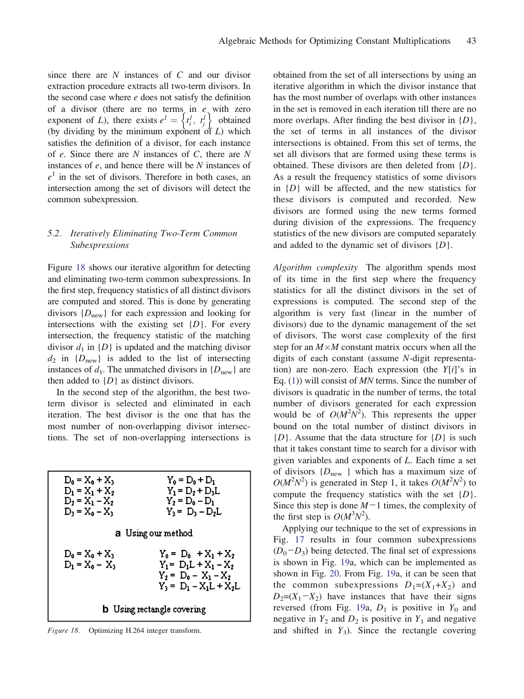<span id="page-12-0"></span>since there are N instances of C and our divisor extraction procedure extracts all two-term divisors. In the second case where  $e$  does not satisfy the definition of a divisor (there are no terms in  $e$  with zero or a divisor (there are no terms in equal to  $\exp(-\frac{1}{2}t^2)$  and  $\exp(-\frac{1}{2}t^2)$  obtained (by dividing by the minimum exponent of  $L$ ) which satisfies the definition of a divisor, for each instance of e. Since there are  $N$  instances of  $C$ , there are  $N$ instances of  $e$ , and hence there will be  $N$  instances of  $e<sup>1</sup>$  in the set of divisors. Therefore in both cases, an intersection among the set of divisors will detect the common subexpression.

## 5.2. Iteratively Eliminating Two-Term Common Subexpressions

Figure 18 shows our iterative algorithm for detecting and eliminating two-term common subexpressions. In the first step, frequency statistics of all distinct divisors are computed and stored. This is done by generating divisors  $\{D_{\text{new}}\}$  for each expression and looking for intersections with the existing set  $\{D\}$ . For every intersection, the frequency statistic of the matching divisor  $d_1$  in  $\{D\}$  is updated and the matching divisor  $d_2$  in  $\{D_{\text{new}}\}$  is added to the list of intersecting instances of  $d_1$ . The unmatched divisors in  $\{D_{new}\}\$ are then added to  $\{D\}$  as distinct divisors.

In the second step of the algorithm, the best twoterm divisor is selected and eliminated in each iteration. The best divisor is the one that has the most number of non-overlapping divisor intersections. The set of non-overlapping intersections is



obtained from the set of all intersections by using an iterative algorithm in which the divisor instance that has the most number of overlaps with other instances in the set is removed in each iteration till there are no more overlaps. After finding the best divisor in  $\{D\},\$ the set of terms in all instances of the divisor intersections is obtained. From this set of terms, the set all divisors that are formed using these terms is obtained. These divisors are then deleted from  $\{D\}$ . As a result the frequency statistics of some divisors in  $\{D\}$  will be affected, and the new statistics for these divisors is computed and recorded. New divisors are formed using the new terms formed during division of the expressions. The frequency statistics of the new divisors are computed separately and added to the dynamic set of divisors  $\{D\}$ .

Algorithm complexity The algorithm spends most of its time in the first step where the frequency statistics for all the distinct divisors in the set of expressions is computed. The second step of the algorithm is very fast (linear in the number of divisors) due to the dynamic management of the set of divisors. The worst case complexity of the first step for an  $M \times M$  constant matrix occurs when all the digits of each constant (assume N-digit representation) are non-zero. Each expression (the  $Y[i]$ 's in Eq. (1)) will consist of MN [terms. Since the number of](#page-1-0) [divisors is quadratic in the number of terms, the total](#page-1-0) [number of divisors generated for each expression](#page-1-0) [would](#page-1-0) [be](#page-1-0) [of](#page-1-0)  $O(M^2N^2)$  $O(M^2N^2)$  $O(M^2N^2)$ . This represents the upper [bound on the total number of distinct divisors in](#page-1-0)  ${D}$ . Assume that the data structure for  ${D}$  is such [that it takes constant time to search for a divisor with](#page-1-0) [given variables and exponents of](#page-1-0)  $L$ . Each time a set of divisors  $\{D_{\text{new}}\}$  which has a maximum size of  $O(M^2N^2)$  $O(M^2N^2)$  $O(M^2N^2)$  $O(M^2N^2)$  [is](#page-1-0) [generated](#page-1-0) [in](#page-1-0) [Step](#page-1-0) [1,](#page-1-0) [it](#page-1-0) [takes](#page-1-0)  $O(M^2N^2)$  to compute the frequency statistics with the set  $\{D\}$ . [Since this step is done](#page-1-0)  $M-1$  times, the complexity of [the](#page-1-0) [first](#page-1-0) [step](#page-1-0) [is](#page-1-0)  $O(M^3 N^2)$  $O(M^3 N^2)$  $O(M^3 N^2)$ .

Applying our technique to the set of expressions in Fig. 17 [results in four common subexpressions](#page-11-0)  $(D_0-D_3)$  $(D_0-D_3)$  $(D_0-D_3)$  being detected. The final set of expressions is shown in Fig. [19a, which can be implemented as](#page-13-0) shown in Fig. 20. From Fig. [19a, it can be seen that](#page-13-0) [the common subexpressions](#page-13-0)  $D_1=(X_1+X_2)$  $D_1=(X_1+X_2)$  $D_1=(X_1+X_2)$  $D_1=(X_1+X_2)$  and  $D_2=(X_1-X_2)$  $D_2=(X_1-X_2)$  $D_2=(X_1-X_2)$  $D_2=(X_1-X_2)$  $D_2=(X_1-X_2)$  have instances that have their signs [reversed \(from Fig.](#page-13-0) 19a,  $D_1$  [is positive in](#page-13-0)  $Y_0$  [and](#page-13-0) [negative in](#page-13-0)  $Y_2$  [and](#page-13-0)  $D_2$  [is positive in](#page-13-0)  $Y_1$  [and negative](#page-13-0) *Figure 18.* Optimizing H.264 integer transform. [and shifted in](#page-13-0)  $Y_3$ [\). Since the rectangle covering](#page-13-0)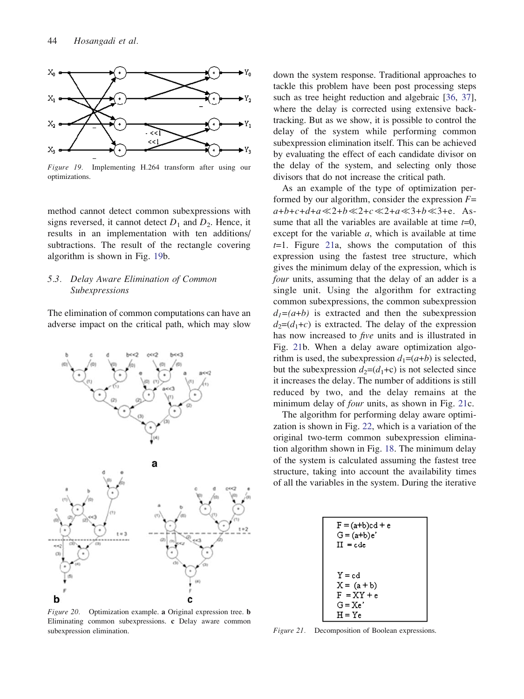<span id="page-13-0"></span>

Figure 19. Implementing H.264 transform after using our optimizations.

method cannot detect common subexpressions with signs reversed, it cannot detect  $D_1$  and  $D_2$ . Hence, it results in an implementation with ten additions/ subtractions. The result of the rectangle covering algorithm is shown in Fig. 19b.

#### 5.3. Delay Aware Elimination of Common Subexpressions

The elimination of common computations can have an adverse impact on the critical path, which may slow



Figure 20. Optimization example. a Original expression tree. **b** Eliminating common subexpressions. c Delay aware common subexpression elimination. Figure 21. Decomposition of Boolean expressions.

down the system response. Traditional approaches to tackle this problem have been post processing steps such as tree height reduction and algebraic [36, [37\],](#page-18-0) [where the delay is corrected using extensive back](#page-18-0)[tracking. But as we show, it is possible to control the](#page-18-0) [delay of the system while performing common](#page-18-0) [subexpression elimination itself. This can be achieved](#page-18-0) [by evaluating the effect of each candidate divisor on](#page-18-0) [the delay of the system, and selecting only those](#page-18-0) [divisors that do not increase the critical path.](#page-18-0)

As an example of the type of optimization performed by our algorithm, consider the expression  $F=$  $a+b+c+d+a \ll 2+b \ll 2+c \ll 2+a \ll 3+b \ll 3+e$ . Assume that all the variables are available at time  $t=0$ . except for the variable  $a$ , which is available at time  $t=1$ . Figure 21a, shows the computation of this expression using the fastest tree structure, which gives the minimum delay of the expression, which is four units, assuming that the delay of an adder is a single unit. Using the algorithm for extracting common subexpressions, the common subexpression  $d_1=(a+b)$  is extracted and then the subexpression  $d_2=(d_1+c)$  is extracted. The delay of the expression has now increased to five units and is illustrated in Fig. 21b. When a delay aware optimization algorithm is used, the subexpression  $d_1=(a+b)$  is selected, but the subexpression  $d_2=(d_1+c)$  is not selected since it increases the delay. The number of additions is still reduced by two, and the delay remains at the minimum delay of *four* units, as shown in Fig. 21c.

The algorithm for performing delay aware optimization is shown in Fig. [22, which is a variation of the](#page-14-0) [original two-term common subexpression elimina](#page-14-0)[tion algorithm shown in Fig.](#page-12-0) 18. The minimum delay [of the system is calculated assuming the fastest tree](#page-12-0) [structure, taking into account the availability times](#page-12-0) [of all the variables in the system. During the iterative](#page-12-0)

| $F = (a+b)cd + e$<br>$G = (a+b)e'$<br>$H = cde$                                                     |  |
|-----------------------------------------------------------------------------------------------------|--|
| $Y = cd$<br>$X = (a + b)$<br>$F = XY + e$<br>$G = Xe'$<br>$\bm{\mathsf{H}} = \mathbf{Y}_\mathsf{E}$ |  |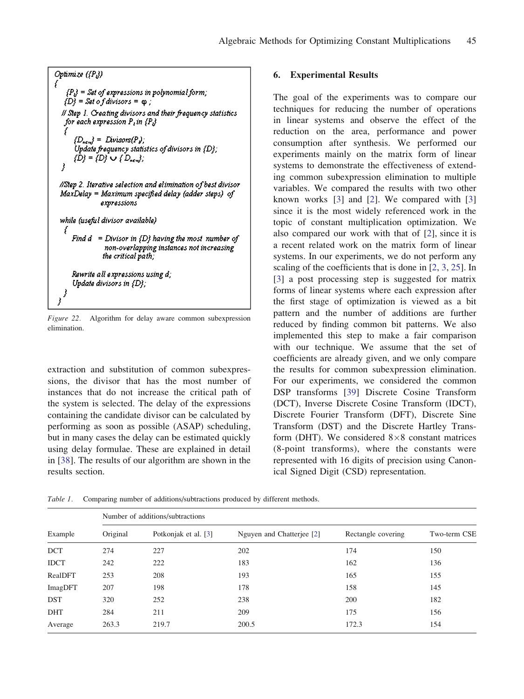```
Optimize ({P})
   \{P_i\} = Set of expressions in polynomial form;
   \{D\} = Set of divisors = \varphi;
  If Step 1. Creating divisors and their frequency statistics
   for each expression P_i in \{P_i\}\{D_{new}\} = Divisors(P_s),Update frequency statistics of divisors in \{D\};
      \{\bar{D}\} = \{D\} \cup \{\bar{D}_{new}\},\//Step 2. Iterative selection and elimination of best divisor
 MaxDelay = Maximum specified delay (adder steps) of
               expressions
 while (useful divisor available)
   1
     Find d = Divisor in {D} having the most number of
                 non-overlapping instances not increasing
                the critical path;
     Rewrite all expressions using d;
     Update divisors in \{D\};
```
Figure 22. Algorithm for delay aware common subexpression elimination.

[extraction and substitution of common subexpres](#page-12-0)[sions, the divisor that has the most number of](#page-12-0) [instances that do not increase the critical path of](#page-12-0) [the system is selected. The delay of the expressions](#page-12-0) [containing the candidate divisor can be calculated by](#page-12-0) [performing as soon as possible \(ASAP\) scheduling,](#page-12-0) [but in many cases the delay can be estimated quickly](#page-12-0) [using delay formulae. These are explained in detail](#page-12-0) [in \[38\]. The results of our algorithm are shown in the](#page-18-0) [results section.](#page-18-0)

### 6. Experimental Results

The goal of the experiments was to compare our techniques for reducing the number of operations in linear systems and observe the effect of the reduction on the area, performance and power consumption after synthesis. We performed our experiments mainly on the matrix form of linear systems to demonstrate the effectiveness of extending common subexpression elimination to multiple variables. We compared the results with two other known works [[3\] and \[2\]. We compared with \[3\]](#page-17-0) [since it is the most widely referenced work in the](#page-17-0) [topic of constant multiplication optimization. We](#page-17-0) [also compared our work with that of \[2\], since it is](#page-17-0) [a recent related work on the matrix form of linear](#page-17-0) [systems. In our experiments, we do not perform any](#page-17-0) [scaling of the coefficients that is done in \[2,](#page-17-0) 3, 25]. In [\[3\] a post processing step is suggested for matrix](#page-17-0) [forms of linear systems where each expression after](#page-17-0) [the first stage of optimization is viewed as a bit](#page-17-0) [pattern and the number of additions are further](#page-17-0) [reduced by finding common bit patterns. We also](#page-17-0) [implemented this step to make a fair comparison](#page-17-0) [with our technique. We assume that the set of](#page-17-0) [coefficients are already given, and we only compare](#page-17-0) [the results for common subexpression elimination.](#page-17-0) [For our experiments, we considered the common](#page-17-0) [DSP transforms \[39\] Discrete Cosine Transform](#page-18-0) [\(DCT\), Inverse Discrete Cosine Transform \(IDCT\),](#page-18-0) [Discrete Fourier Transform \(DFT\), Discrete Sine](#page-18-0) [Transform \(DST\) and the Discrete Hartley Trans](#page-18-0)form (DHT). We considered  $8\times 8$  constant matrices [\(8-point transforms\), where the constants were](#page-18-0) [represented with 16 digits of precision using Canon](#page-18-0)[ical Signed Digit \(CSD\) representation.](#page-18-0)

Table 1. Comparing number of additions/subtractions produced by different methods.

|             | Number of additions/subtractions |                      |                           |                    |              |  |  |  |  |
|-------------|----------------------------------|----------------------|---------------------------|--------------------|--------------|--|--|--|--|
| Example     | Original                         | Potkonjak et al. [3] | Nguyen and Chatterjee [2] | Rectangle covering | Two-term CSE |  |  |  |  |
| <b>DCT</b>  | 274                              | 227                  | 202                       | 174                | 150          |  |  |  |  |
| <b>IDCT</b> | 242                              | 222                  | 183                       | 162                | 136          |  |  |  |  |
| RealDFT     | 253                              | 208                  | 193                       | 165                | 155          |  |  |  |  |
| ImagDFT     | 207                              | 198                  | 178                       | 158                | 145          |  |  |  |  |
| <b>DST</b>  | 320                              | 252                  | 238                       | 200                | 182          |  |  |  |  |
| <b>DHT</b>  | 284                              | 211                  | 209                       | 175                | 156          |  |  |  |  |
| Average     | 263.3                            | 219.7                | 200.5                     | 172.3              | 154          |  |  |  |  |
|             |                                  |                      |                           |                    |              |  |  |  |  |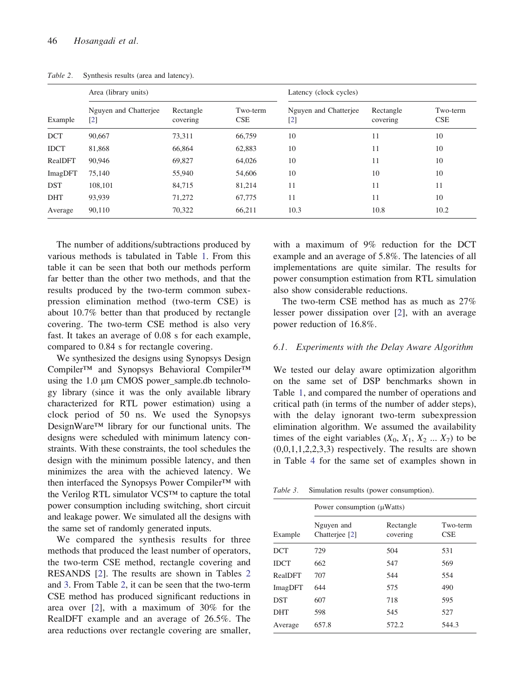|             | Area (library units)           |                       |                        | Latency (clock cycles)                     |                       |                        |  |
|-------------|--------------------------------|-----------------------|------------------------|--------------------------------------------|-----------------------|------------------------|--|
| Example     | Nguyen and Chatterjee<br>$[2]$ | Rectangle<br>covering | Two-term<br><b>CSE</b> | Nguyen and Chatterjee<br>$\left[ 2\right]$ | Rectangle<br>covering | Two-term<br><b>CSE</b> |  |
| <b>DCT</b>  | 90,667                         | 73,311                | 66,759                 | 10                                         | 11                    | 10                     |  |
| <b>IDCT</b> | 81,868                         | 66,864                | 62,883                 | 10                                         | 11                    | 10                     |  |
| RealDFT     | 90,946                         | 69,827                | 64,026                 | 10                                         | 11                    | 10                     |  |
| ImagDFT     | 75,140                         | 55,940                | 54,606                 | 10                                         | 10                    | 10                     |  |
| <b>DST</b>  | 108,101                        | 84,715                | 81,214                 | 11                                         | 11                    | 11                     |  |
| <b>DHT</b>  | 93,939                         | 71,272                | 67,775                 | 11                                         | 11                    | 10                     |  |
| Average     | 90,110                         | 70,322                | 66,211                 | 10.3                                       | 10.8                  | 10.2                   |  |

Table 2. Synthesis results (area and latency).

The number of additions/subtractions produced by various methods is tabulated in Table [1. From this](#page-14-0) [table it can be seen that both our methods perform](#page-14-0) [far better than the other two methods, and that the](#page-14-0) [results produced by the two-term common subex](#page-14-0)[pression elimination method \(two-term CSE\) is](#page-14-0) [about 10.7% better than that produced by rectangle](#page-14-0) [covering. The two-term CSE method is also very](#page-14-0) [fast. It takes an average of 0.08 s for each example,](#page-14-0) [compared to 0.84 s for rectangle covering.](#page-14-0)

We synthesized the designs using Synopsys Design Compiler<sup>TM</sup> and Synopsys Behavioral Compiler<sup>TM</sup> using the  $1.0 \mu m$  CMOS power\_sample.db technology library (since it was the only available library characterized for RTL power estimation) using a clock period of 50 ns. We used the Synopsys DesignWare<sup>TM</sup> library for our functional units. The designs were scheduled with minimum latency constraints. With these constraints, the tool schedules the design with the minimum possible latency, and then minimizes the area with the achieved latency. We then interfaced the Synopsys Power Compiler<sup>TM</sup> with the Verilog RTL simulator  $VCS^{TM}$  to capture the total power consumption including switching, short circuit and leakage power. We simulated all the designs with the same set of randomly generated inputs.

We compared the synthesis results for three methods that produced the least number of operators, the two-term CSE method, rectangle covering and RESANDS [2]. The results are shown in Tables 2 and 3. From Table 2, it can be seen that the two-term CSE method has produced significant reductions in [area over \[2\], with a maximum of 30% for the](#page-17-0) [RealDFT example and an average of 26.5%. The](#page-17-0) [area reductions over rectangle covering are smaller,](#page-17-0)

[with a maximum of 9% reduction for the DCT](#page-17-0) [example and an average of 5.8%. The latencies of all](#page-17-0) [implementations are quite similar. The results for](#page-17-0) [power consumption estimation from RTL simulation](#page-17-0) [also show considerable reductions.](#page-17-0)

The two-term CSE method has as much as 27% lesser power dissipation over [\[2\], with an average](#page-17-0) [power reduction of 16.8%.](#page-17-0)

#### 6.1. Experiments with the Delay Aware Algorithm

We tested our delay aware optimization algorithm on the same set of DSP benchmarks shown in Table [1, and compared the number of operations and](#page-14-0) [critical path \(in terms of the number of adder steps\),](#page-14-0) [with the delay ignorant](#page-14-0) two-term subexpression [elimination algorithm. We assumed the availability](#page-14-0) times of the eight variables  $(X_0, X_1, X_2, \dots, X_7)$  $(X_0, X_1, X_2, \dots, X_7)$  $(X_0, X_1, X_2, \dots, X_7)$  to be  $(0,0,1,1,2,2,3,3)$  respectively. The results are shown in Table 4 [for the same set of examples shown in](#page-16-0)

Table 3. Simulation results (power consumption).

|             | Power consumption (µWatts)   |                       |                        |  |  |  |  |
|-------------|------------------------------|-----------------------|------------------------|--|--|--|--|
| Example     | Nguyen and<br>Chatterjee [2] | Rectangle<br>covering | Two-term<br><b>CSE</b> |  |  |  |  |
| <b>DCT</b>  | 729                          | 504                   | 531                    |  |  |  |  |
| <b>IDCT</b> | 662                          | 547                   | 569                    |  |  |  |  |
| RealDFT     | 707                          | 544                   | 554                    |  |  |  |  |
| ImagDFT     | 644                          | 575                   | 490                    |  |  |  |  |
| <b>DST</b>  | 607                          | 718                   | 595                    |  |  |  |  |
| DHT         | 598                          | 545                   | 527                    |  |  |  |  |
| Average     | 657.8                        | 572.2                 | 544.3                  |  |  |  |  |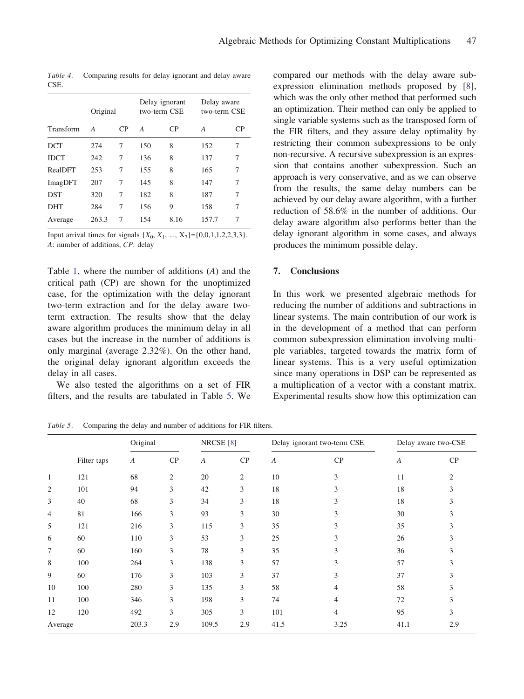|             | Original |    | Delay ignorant<br>two-term CSE |      | Delay aware<br>two-term CSE |    |
|-------------|----------|----|--------------------------------|------|-----------------------------|----|
| Transform   | A        | CP | A                              | CP   | А                           | CP |
| <b>DCT</b>  | 274      | 7  | 150                            | 8    | 152                         | 7  |
| <b>IDCT</b> | 242      | 7  | 136                            | 8    | 137                         | 7  |
| RealDFT     | 253      | 7  | 155                            | 8    | 165                         |    |
| ImagDFT     | 207      | 7  | 145                            | 8    | 147                         | 7  |
| <b>DST</b>  | 320      | 7  | 182                            | 8    | 187                         | 7  |
| <b>DHT</b>  | 284      | 7  | 156                            | 9    | 158                         | 7  |
| Average     | 263.3    | 7  | 154                            | 8.16 | 157.7                       |    |
|             |          |    |                                |      |                             |    |

<span id="page-16-0"></span>Table 4. Comparing results for delay ignorant and delay aware CSE.

Input arrival times for signals  $\{X_0, X_1, ..., X_7\} = \{0, 0, 1, 1, 2, 2, 3, 3\}.$ A: number of additions, CP: delay

Table [1, where the number of additions \(](#page-14-0)A) and the [critical path \(CP\) are shown for the unoptimized](#page-14-0) [case, for the optimization with the delay ignorant](#page-14-0) [two-term extraction and for the delay aware two](#page-14-0)[term extraction. The results show that the delay](#page-14-0) [aware algorithm produces the minimum delay in all](#page-14-0) [cases but the increase in the number of additions is](#page-14-0) [only marginal \(average 2.32%\). On the other hand,](#page-14-0) [the original delay ignorant algorithm exceeds the](#page-14-0) [delay in all cases.](#page-14-0)

We also tested the algorithms on a set of FIR filters, and the results are tabulated in Table 5. We compared our methods with the delay aware sub[expression elimination methods proposed by \[8\],](#page-17-0) [which was the only other method that performed such](#page-17-0) [an optimization. Their method can only be applied to](#page-17-0) [single variable systems such as the transposed form of](#page-17-0) [the FIR filters, and they assure delay optimality by](#page-17-0) [restricting their common subexpressions to be only](#page-17-0) [non-recursive. A recursive subexpression is an expres](#page-17-0)[sion that contains another subexpression. Such an](#page-17-0) [approach is very conservative, and as we can observe](#page-17-0) [from the results, the same delay numbers can be](#page-17-0) [achieved by our delay aware algorithm, with a further](#page-17-0) [reduction of 58.6% in the number of additions. Our](#page-17-0) [delay aware algorithm also performs better than the](#page-17-0) [delay ignorant algorithm in some cases, and always](#page-17-0) [produces the minimum possible delay.](#page-17-0)

# 7. Conclusions

In this work we presented algebraic methods for reducing the number of additions and subtractions in linear systems. The main contribution of our work is in the development of a method that can perform common subexpression elimination involving multiple variables, targeted towards the matrix form of linear systems. This is a very useful optimization since many operations in DSP can be represented as a multiplication of a vector with a constant matrix. Experimental results show how this optimization can

Table 5. Comparing the delay and number of additions for FIR filters.

|                |             | Original         |                |                  | NRCSE <sup>[8]</sup> |                  | Delay ignorant two-term CSE |                  | Delay aware two-CSE |  |
|----------------|-------------|------------------|----------------|------------------|----------------------|------------------|-----------------------------|------------------|---------------------|--|
|                | Filter taps | $\boldsymbol{A}$ | CP             | $\boldsymbol{A}$ | CP                   | $\boldsymbol{A}$ | CP                          | $\boldsymbol{A}$ | CP                  |  |
| 1              | 121         | 68               | $\overline{c}$ | 20               | $\overline{2}$       | 10               | 3                           | 11               | $\overline{2}$      |  |
| $\overline{2}$ | 101         | 94               | 3              | 42               | 3                    | 18               | 3                           | 18               | 3                   |  |
| 3              | 40          | 68               | 3              | 34               | 3                    | 18               | 3                           | 18               | 3                   |  |
| $\overline{4}$ | 81          | 166              | 3              | 93               | 3                    | 30               | 3                           | 30               | 3                   |  |
| 5              | 121         | 216              | 3              | 115              | 3                    | 35               | 3                           | 35               | 3                   |  |
| 6              | 60          | 110              | 3              | 53               | 3                    | 25               | 3                           | 26               | 3                   |  |
| 7              | 60          | 160              | 3              | 78               | 3                    | 35               | 3                           | 36               | 3                   |  |
| 8              | 100         | 264              | 3              | 138              | 3                    | 57               | 3                           | 57               | 3                   |  |
| 9              | 60          | 176              | 3              | 103              | 3                    | 37               | 3                           | 37               | 3                   |  |
| 10             | 100         | 280              | 3              | 135              | 3                    | 58               | 4                           | 58               | 3                   |  |
| 11             | 100         | 346              | 3              | 198              | 3                    | 74               | 4                           | 72               | 3                   |  |
| 12             | 120         | 492              | 3              | 305              | 3                    | 101              | 4                           | 95               | 3                   |  |
| Average        |             | 203.3            | 2.9            | 109.5            | 2.9                  | 41.5             | 3.25                        | 41.1             | 2.9                 |  |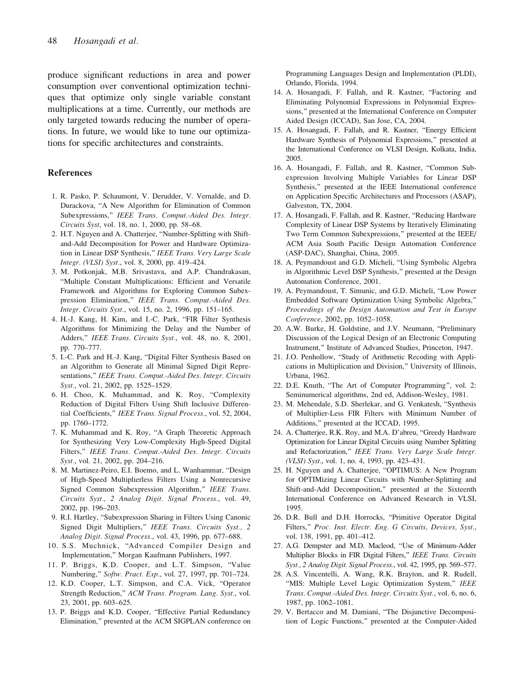<span id="page-17-0"></span>produce significant reductions in area and power consumption over conventional optimization techniques that optimize only single variable constant multiplications at a time. Currently, our methods are only targeted towards reducing the number of operations. In future, we would like to tune our optimizations for specific architectures and constraints.

# References

- 1. R. Pasko, P. Schaumont, V. Derudder, V. Vernalde, and D. Durackova, "A New Algorithm for Elimination of Common Subexpressions," IEEE Trans. Comput.-Aided Des. Integr. Circuits Syst, vol. 18, no. 1, 2000, pp. 58–68.
- 2. H.T. Nguyen and A. Chatterjee, "Number-Splitting with Shiftand-Add Decomposition for Power and Hardware Optimization in Linear DSP Synthesis," IEEE Trans. Very Large Scale Integr. (VLSI) Syst., vol. 8, 2000, pp. 419–424.
- 3. M. Potkonjak, M.B. Srivastava, and A.P. Chandrakasan, "Multiple Constant Multiplications: Efficient and Versatile Framework and Algorithms for Exploring Common Subexpression Elimination," IEEE Trans. Comput.-Aided Des. Integr. Circuits Syst., vol. 15, no. 2, 1996, pp. 151–165.
- 4. H.-J. Kang, H. Kim, and I.-C. Park, "FIR Filter Synthesis Algorithms for Minimizing the Delay and the Number of Adders," IEEE Trans. Circuits Syst., vol. 48, no. 8, 2001, pp. 770–777.
- 5. I.-C. Park and H.-J. Kang, "Digital Filter Synthesis Based on an Algorithm to Generate all Minimal Signed Digit Representations," IEEE Trans. Comput.-Aided Des. Integr. Circuits Syst., vol. 21, 2002, pp. 1525–1529.
- 6. H. Choo, K. Muhammad, and K. Roy, "Complexity Reduction of Digital Filters Using Shift Inclusive Differential Coefficients," IEEE Trans. Signal Process., vol. 52, 2004, pp. 1760–1772.
- 7. K. Muhammad and K. Roy, "A Graph Theoretic Approach for Synthesizing Very Low-Complexity High-Speed Digital Filters," IEEE Trans. Comput.-Aided Des. Integr. Circuits Syst., vol. 21, 2002, pp. 204–216.
- 8. M. Martinez-Peiro, E.I. Boemo, and L. Wanhammar, "Design of High-Speed Multiplierless Filters Using a Nonrecursive Signed Common Subexpression Algorithm," IEEE Trans. Circuits Syst., 2 Analog Digit. Signal Process., vol. 49, 2002, pp. 196–203.
- 9. R.I. Hartley, "Subexpression Sharing in Filters Using Canonic Signed Digit Multipliers," IEEE Trans. Circuits Syst., 2 Analog Digit. Signal Process., vol. 43, 1996, pp. 677–688.
- 10. S.S. Muchnick, "Advanced Compiler Design and Implementation," Morgan Kaufmann Publishers, 1997.
- 11. P. Briggs, K.D. Cooper, and L.T. Simpson, "Value Numbering," Softw. Pract. Exp., vol. 27, 1997, pp. 701–724.
- 12. K.D. Cooper, L.T. Simpson, and C.A. Vick, "Operator Strength Reduction," ACM Trans. Program. Lang. Syst., vol. 23, 2001, pp. 603–625.
- 13. P. Briggs and K.D. Cooper, "Effective Partial Redundancy Elimination," presented at the ACM SIGPLAN conference on

Programming Languages Design and Implementation (PLDI), Orlando, Florida, 1994.

- 14. A. Hosangadi, F. Fallah, and R. Kastner, "Factoring and Eliminating Polynomial Expressions in Polynomial Expressions," presented at the International Conference on Computer Aided Design (ICCAD), San Jose, CA, 2004.
- 15. A. Hosangadi, F. Fallah, and R. Kastner, "Energy Efficient Hardware Synthesis of Polynomial Expressions," presented at the International Conference on VLSI Design, Kolkata, India, 2005.
- 16. A. Hosangadi, F. Fallah, and R. Kastner, "Common Subexpression Involving Multiple Variables for Linear DSP Synthesis," presented at the IEEE International conference on Application Specific Architectures and Processors (ASAP), Galveston, TX, 2004.
- 17. A. Hosangadi, F. Fallah, and R. Kastner, "Reducing Hardware Complexity of Linear DSP Systems by Iteratively Eliminating Two Term Common Subexpressions," presented at the IEEE/ ACM Asia South Pacific Design Automation Conference (ASP-DAC), Shanghai, China, 2005.
- 18. A. Peymandoust and G.D. Micheli, "Using Symbolic Algebra in Algorithmic Level DSP Synthesis," presented at the Design Automation Conference, 2001.
- 19. A. Peymandoust, T. Simunic, and G.D. Micheli, "Low Power Embedded Software Optimization Using Symbolic Algebra," Proceedings of the Design Automation and Test in Europe Conference, 2002, pp. 1052–1058.
- 20. A.W. Burke, H. Goldstine, and J.V. Neumann, "Preliminary Discussion of the Logical Design of an Electronic Computing Instrument," Institute of Advanced Studies, Princeton, 1947.
- 21. J.O. Penhollow, "Study of Arithmetic Recoding with Applications in Multiplication and Division,^ University of Illinois, Urbana, 1962.
- 22. D.E. Knuth, "The Art of Computer Programming", vol. 2: Seminumerical algorithms, 2nd ed, Addison-Wesley, 1981.
- 23. M. Mehendale, S.D. Sherlekar, and G. Venkatesh, "Synthesis of Multiplier-Less FIR Filters with Minimum Number of Additions," presented at the ICCAD, 1995.
- 24. A. Chatterjee, R.K. Roy, and M.A. D'abreu, "Greedy Hardware Optimization for Linear Digital Circuits using Number Splitting and Refactorization," IEEE Trans. Very Large Scale Integr. (VLSI) Syst., vol. 1, no. 4, 1993, pp. 423–431.
- 25. H. Nguyen and A. Chatterjee, "OPTIMUS: A New Program for OPTIMizing Linear Circuits with Number-Splitting and Shift-and-Add Decomposition,^ presented at the Sixteenth International Conference on Advanced Research in VLSI, 1995.
- 26. D.R. Bull and D.H. Horrocks, "Primitive Operator Digital Filters," Proc. Inst. Electr. Eng. G Circuits, Devices, Syst., vol. 138, 1991, pp. 401–412.
- 27. A.G. Dempster and M.D. Macleod, "Use of Minimum-Adder Multiplier Blocks in FIR Digital Filters," IEEE Trans. Circuits Syst., 2 Analog Digit. Signal Process., vol. 42, 1995, pp. 569–577.
- 28. A.S. Vincentelli, A. Wang, R.K. Brayton, and R. Rudell, "MIS: Multiple Level Logic Optimization System," IEEE Trans. Comput.-Aided Des. Integr. Circuits Syst., vol. 6, no. 6, 1987, pp. 1062–1081.
- 29. V. Bertacco and M. Damiani, "The Disjunctive Decomposition of Logic Functions,^ presented at the Computer-Aided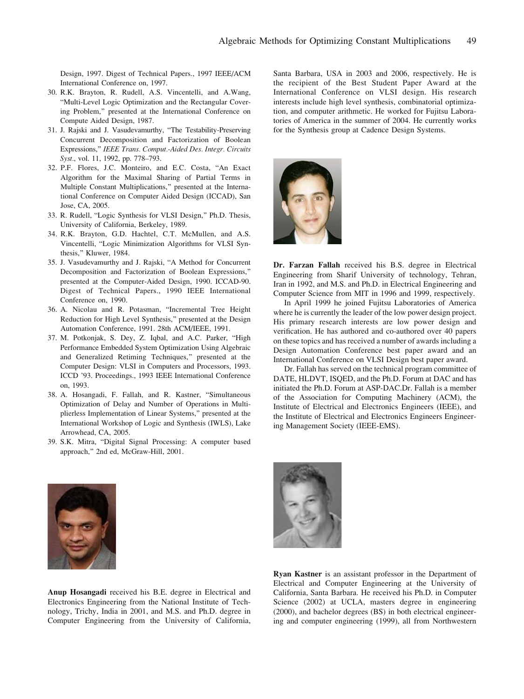<span id="page-18-0"></span>Design, 1997. Digest of Technical Papers., 1997 IEEE/ACM International Conference on, 1997.

- 30. R.K. Brayton, R. Rudell, A.S. Vincentelli, and A.Wang, "Multi-Level Logic Optimization and the Rectangular Covering Problem," presented at the International Conference on Compute Aided Design, 1987.
- 31. J. Rajski and J. Vasudevamurthy, "The Testability-Preserving Concurrent Decomposition and Factorization of Boolean Expressions," IEEE Trans. Comput.-Aided Des. Integr. Circuits Syst., vol. 11, 1992, pp. 778–793.
- 32. P.F. Flores, J.C. Monteiro, and E.C. Costa, "An Exact Algorithm for the Maximal Sharing of Partial Terms in Multiple Constant Multiplications," presented at the International Conference on Computer Aided Design (ICCAD), San Jose, CA, 2005.
- 33. R. Rudell, "Logic Synthesis for VLSI Design," Ph.D. Thesis, University of California, Berkeley, 1989.
- 34. R.K. Brayton, G.D. Hachtel, C.T. McMullen, and A.S. Vincentelli, "Logic Minimization Algorithms for VLSI Synthesis," Kluwer, 1984.
- 35. J. Vasudevamurthy and J. Rajski, "A Method for Concurrent Decomposition and Factorization of Boolean Expressions," presented at the Computer-Aided Design, 1990. ICCAD-90. Digest of Technical Papers., 1990 IEEE International Conference on, 1990.
- 36. A. Nicolau and R. Potasman, "Incremental Tree Height Reduction for High Level Synthesis," presented at the Design Automation Conference, 1991. 28th ACM/IEEE, 1991.
- 37. M. Potkonjak, S. Dey, Z. Iqbal, and A.C. Parker, "High Performance Embedded System Optimization Using Algebraic and Generalized Retiming Techniques," presented at the Computer Design: VLSI in Computers and Processors, 1993. ICCD '93. Proceedings., 1993 IEEE International Conference on, 1993.
- 38. A. Hosangadi, F. Fallah, and R. Kastner, "Simultaneous Optimization of Delay and Number of Operations in Multiplierless Implementation of Linear Systems," presented at the International Workshop of Logic and Synthesis (IWLS), Lake Arrowhead, CA, 2005.
- 39. S.K. Mitra, "Digital Signal Processing: A computer based approach,^ 2nd ed, McGraw-Hill, 2001.



Anup Hosangadi received his B.E. degree in Electrical and Electronics Engineering from the National Institute of Technology, Trichy, India in 2001, and M.S. and Ph.D. degree in Computer Engineering from the University of California, Santa Barbara, USA in 2003 and 2006, respectively. He is the recipient of the Best Student Paper Award at the International Conference on VLSI design. His research interests include high level synthesis, combinatorial optimization, and computer arithmetic. He worked for Fujitsu Laboratories of America in the summer of 2004. He currently works for the Synthesis group at Cadence Design Systems.



Dr. Farzan Fallah received his B.S. degree in Electrical Engineering from Sharif University of technology, Tehran, Iran in 1992, and M.S. and Ph.D. in Electrical Engineering and Computer Science from MIT in 1996 and 1999, respectively.

In April 1999 he joined Fujitsu Laboratories of America where he is currently the leader of the low power design project. His primary research interests are low power design and verification. He has authored and co-authored over 40 papers on these topics and has received a number of awards including a Design Automation Conference best paper award and an International Conference on VLSI Design best paper award.

Dr. Fallah has served on the technical program committee of DATE, HLDVT, ISQED, and the Ph.D. Forum at DAC and has initiated the Ph.D. Forum at ASP-DAC.Dr. Fallah is a member of the Association for Computing Machinery (ACM), the Institute of Electrical and Electronics Engineers (IEEE), and the Institute of Electrical and Electronics Engineers Engineering Management Society (IEEE-EMS).



Ryan Kastner is an assistant professor in the Department of Electrical and Computer Engineering at the University of California, Santa Barbara. He received his Ph.D. in Computer Science (2002) at UCLA, masters degree in engineering (2000), and bachelor degrees (BS) in both electrical engineering and computer engineering (1999), all from Northwestern